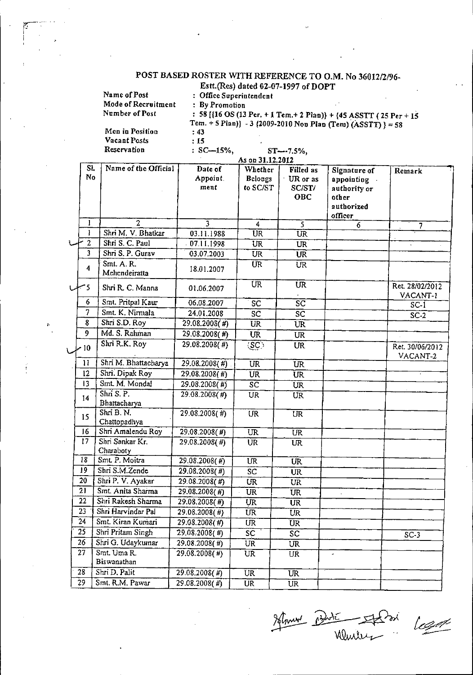## POST BASED ROSTER WITH REFERENCE TO O.M. No 36012/2/96-

|                         | Estt.(Res) dated 02-07-1997 of DOPT                                                                                                                            |                         |                                 |                        |                                                              |                             |  |
|-------------------------|----------------------------------------------------------------------------------------------------------------------------------------------------------------|-------------------------|---------------------------------|------------------------|--------------------------------------------------------------|-----------------------------|--|
|                         | Name of Post                                                                                                                                                   | : Office Superintendent |                                 |                        |                                                              |                             |  |
|                         | Mode of Recruitment                                                                                                                                            | : By Promotion          |                                 |                        |                                                              |                             |  |
|                         | Number of Post<br>: 58 [ $\{16 \text{ OS } (13 \text{ Per.} + 1 \text{ Tem.} + 2 \text{ Plan})\}$ + $\{45 \text{ ASSTT } (25 \text{ Per} + 15 \text{ Per.})\}$ |                         |                                 |                        |                                                              |                             |  |
|                         |                                                                                                                                                                |                         |                                 |                        | Tem. + 5 Plan)} - 3 (2009-2010 Non Plan (Tem) (ASSTT) } = 58 |                             |  |
|                         | Men in Position                                                                                                                                                | : 43                    |                                 |                        |                                                              |                             |  |
|                         | Vacant Posts                                                                                                                                                   | :15                     |                                 |                        |                                                              |                             |  |
|                         | Reservation                                                                                                                                                    | $: SC-15\%,$            |                                 | ST---7.5%,             |                                                              |                             |  |
|                         |                                                                                                                                                                |                         | As on 31.12.2012                |                        |                                                              |                             |  |
| SI.                     | Name of the Official                                                                                                                                           | Date of                 | Whether                         | <b>Filled</b> as       | Signature of                                                 | Remark                      |  |
| No                      |                                                                                                                                                                | Appoint.                | Belongs                         | UR or as               | appointing                                                   |                             |  |
|                         |                                                                                                                                                                | ment                    | to SC/ST                        | SC/ST/                 | authority or                                                 |                             |  |
|                         |                                                                                                                                                                |                         |                                 | OBC                    | other                                                        |                             |  |
|                         |                                                                                                                                                                |                         |                                 |                        | authorized                                                   |                             |  |
| 1                       | $\overline{2}$                                                                                                                                                 | $\overline{3}$          | 4                               | $\overline{s}$         | officer<br>6                                                 |                             |  |
| $\mathbf{I}$            | Shri M. V. Bhatkar                                                                                                                                             | 03.11.1988              | $\overline{\text{UR}}$          | $\overline{UR}$        |                                                              | 7                           |  |
| $\overline{a}$          | Shri S. C. Paul                                                                                                                                                | 07.11.1998              | <b>UR</b>                       | <b>UR</b>              |                                                              |                             |  |
| $\overline{\mathbf{3}}$ | Shri S. P. Gurav                                                                                                                                               | 03.07.2003              | <b>UR</b>                       | <b>UR</b>              |                                                              |                             |  |
|                         | Smt. A. R.                                                                                                                                                     |                         | UR.                             |                        |                                                              |                             |  |
| $\overline{4}$          | Mehendeiratta                                                                                                                                                  | 18.01.2007              |                                 | UR.                    |                                                              |                             |  |
| 5 س                     | Shri R. C. Manna                                                                                                                                               | 01.06.2007              | <b>UR</b>                       | <b>UR</b>              |                                                              | Ret. 28/02/2012<br>VACANT-1 |  |
| $6\phantom{1}$          | Smt. Pritpal Kaur                                                                                                                                              | 06.08.2007              | SC                              | $\overline{\text{sc}}$ |                                                              | $SC-I$                      |  |
| 7                       | Smt. K. Nirmala                                                                                                                                                | 24.01.2008              | SC                              | $\overline{SC}$        |                                                              | $SC-2$                      |  |
| 8                       | Shri S.D. Roy                                                                                                                                                  | $29.08.2008($ #)        | $\overline{UR}$                 | UR                     |                                                              |                             |  |
| $\overline{9}$          | Md. S. Rahman                                                                                                                                                  | 29.08.2008(#)           | UR                              | UR                     |                                                              |                             |  |
| ~10                     | Shri R.K. Roy                                                                                                                                                  | $29.08.2008($ #)        | $\langle \overline{SC} \rangle$ | UR                     |                                                              | Ret. 30/06/2012<br>VACANT-2 |  |
| $\mathbf{11}$           | Shri M. Bhattacharya                                                                                                                                           | 29.08.2008(#)           | <b>UR</b>                       | <b>UR</b>              |                                                              |                             |  |
| 12                      | Shri. Dipak Roy                                                                                                                                                | $29.08.2008($ #)        | <b>UR</b>                       | <b>UR</b>              |                                                              |                             |  |
| 13                      | Smt. M Mondal                                                                                                                                                  | 29.08.2008(#)           | $S\overline{C}$                 | UR                     |                                                              |                             |  |
|                         | Shri S. P.                                                                                                                                                     | $29.08.2008($ #)        | UR                              | UR                     |                                                              |                             |  |
| 14                      | Bhattacharya                                                                                                                                                   |                         |                                 |                        |                                                              |                             |  |
|                         | Shri B. N.                                                                                                                                                     | $29.08.2008($ #)        | <b>UR</b>                       | $\overline{UR}$        |                                                              |                             |  |
| 15                      | Chattopadhya                                                                                                                                                   |                         |                                 |                        |                                                              |                             |  |
| 16                      | Shri Amalendu Roy                                                                                                                                              | $29.08.2008($ #)        | $\overline{UR}$                 | $\overline{\text{UR}}$ |                                                              |                             |  |
| 17.                     | Shri Sankar Kr.                                                                                                                                                | 29.08.2008(#)           | UR                              | UR.                    |                                                              |                             |  |
|                         | Charaboty                                                                                                                                                      |                         |                                 |                        |                                                              |                             |  |
| 18                      | Smt. P. Moitra                                                                                                                                                 | 29.08.2008(#)           | UR                              | <b>UR</b>              |                                                              |                             |  |
| 19                      | Shri S.M.Zende                                                                                                                                                 | 29.08.2008(#)           | SC                              | <b>UR</b>              |                                                              |                             |  |
| 20                      | Shri P. V. Ayakar                                                                                                                                              | $29.08.2008$ (#)        | UR                              | UR                     |                                                              |                             |  |
| 21                      | Smt. Anita Sharma                                                                                                                                              | 29.08.2008(#)           | UR                              | UR                     |                                                              |                             |  |
| 22                      | Shri Rakesh Sharma                                                                                                                                             | 29.08.2008(#)           | UR.                             | UR                     |                                                              |                             |  |
| $\overline{23}$         | Shri Harvindar Pal                                                                                                                                             | 29.08.2008(#)           | UR                              | <b>UR</b>              |                                                              |                             |  |
| 24                      | Smt. Kiran Kumari                                                                                                                                              | 29.08.2008(#)           | UR.                             | UR                     |                                                              |                             |  |
| $\overline{25}$         | Shri Pritam Singh                                                                                                                                              | $29.08.2008($ #)        | SC.                             | $\overline{SC}$        |                                                              | $SC-3$                      |  |
| 26                      | Shri G. Udaykumar                                                                                                                                              | 29.08.2008(#)           | <b>UR</b>                       | <b>UR</b>              |                                                              |                             |  |
| 27                      | Smt. Uma R.                                                                                                                                                    | $29.08.2008($ #)        | UR                              | UR                     |                                                              |                             |  |
|                         | Biswanathan                                                                                                                                                    |                         |                                 |                        |                                                              |                             |  |
| $\frac{1}{28}$          | Shri D. Palit                                                                                                                                                  | 29.08.2008( <i>#</i> )  | $\overline{UR}$                 | UR                     |                                                              |                             |  |
| 29.                     | Smt. R.M. Pawar                                                                                                                                                | 29.08.2008(#)           | UR                              | UR                     |                                                              |                             |  |
|                         |                                                                                                                                                                |                         |                                 |                        |                                                              |                             |  |

Schmer addit Sol legat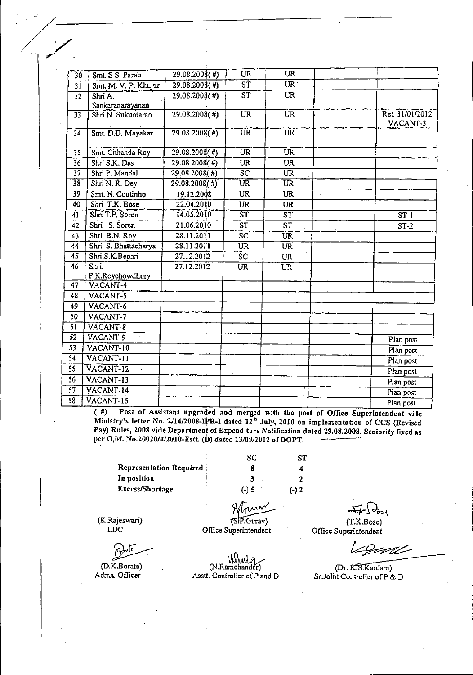| $\overline{30}$ | Smt. S.S. Parab           | $29.08.2008($ #) | <b>UR</b>                                 | <b>UR</b>                |                        |
|-----------------|---------------------------|------------------|-------------------------------------------|--------------------------|------------------------|
| $\overline{31}$ | Smt. M. V. P. Khujur      | $29.08.2008($ #) | $\overline{\text{ST}}$                    | $\overline{\text{UR}}$   |                        |
| $\overline{32}$ | Shri A.                   | 29.08.2008(#)    | $\overline{\text{ST}}$                    | <b>UR</b>                |                        |
|                 | Sankaranarayanan          |                  |                                           |                          |                        |
| 33 <sup>1</sup> | Shri N. Sukumaran         | $29.08,2008($ #) | UR.                                       | $\overline{\text{UR}}$   | Ret. 31/01/2012        |
|                 |                           |                  |                                           |                          | VACANT-3               |
| $\overline{34}$ | Smt. D.D. Mayakar         | $29.08.2008($ #) | $\overline{\text{UR}}$                    | UR                       |                        |
| $\overline{35}$ | Smt. Chhanda Roy          | $29.08,2008($ #) | $\overline{\text{UR}}$                    | $\overline{\text{UR}}$   |                        |
| $\overline{36}$ | Shri S.K. Das             | $29.08.2008($ #) | $\overline{\text{UR}}$                    | $\overline{\text{UR}}$   |                        |
| $\overline{37}$ | Shri P. Mandal            | $29.08.2008($ #) | $\overline{SC}$                           | UR <sup>-</sup>          |                        |
| $\overline{38}$ | Shri N. R. Dey            | $29.08.2008($ #) | $\overline{\text{UR}}$                    | $\overline{\text{UR}}$   |                        |
| 39              | Smt. N. Coutinho          | 19.12.2008       | UR                                        | <b>UR</b>                |                        |
| 40              | Shri T.K. Bose            | 22.04.2010       | UR                                        | <b>UR</b>                |                        |
| 41              | Shri T.P. Soren           | 14.05.2010       | $\overline{\text{ST}}$                    | $\overline{\text{ST}}$   | ST <sub>1</sub>        |
| 42              | Shri S. Soren             | 21.06.2010       | $\overline{\text{s} \overline{\text{r}}}$ | $\overline{\text{ST}}$   | $ST-2$                 |
| 43              | Shri B.N. Roy             | 28.11.2011       | $\overline{SC}$                           | $\overline{\mathtt{UR}}$ |                        |
| 44              | Shri S. Bhattacharya      | 28.11.2011       | <b>UR</b>                                 | <b>UR</b>                |                        |
| 45              | Shri S.K.Bepari           | 27.12.2012       | $\overline{\text{sc}}$                    | $\overline{\text{UR}}$   |                        |
| 46              | $\overline{\text{Shri.}}$ | 27.12.2012       | $\overline{\text{UR}}$                    | <b>UR</b>                |                        |
|                 | P.K.Roychowdhury          |                  |                                           |                          |                        |
| 47              | VACANT-4                  |                  |                                           |                          |                        |
| 48              | VACANT-5                  |                  |                                           |                          |                        |
| 49              | VACANT-6                  |                  |                                           |                          |                        |
| 50              | VACANT-7                  |                  |                                           |                          |                        |
| 51              | VACANT-8                  |                  |                                           |                          |                        |
| $\overline{52}$ | VACANT-9                  |                  |                                           |                          | Plan post              |
| 53              | VACANT-10                 |                  |                                           |                          | Plan post              |
| 54              | VACANT-11                 |                  |                                           |                          | Plan post              |
| 55              | VACANT-12                 |                  |                                           |                          | $\overline{Plan}$ post |
| $\overline{56}$ | VACANT-13                 |                  |                                           |                          | Plan post              |
| 57              | VACANT-14                 |                  |                                           |                          | Plan post              |
| 58              | VACANT-15                 |                  |                                           |                          | Plan post              |

(#) Post of Assistant upgraded and merged with the post of Office Superintendent vide Ministry's letter No. 2/14/2008-IPR-I dated 12<sup>th</sup> July, 2010 on implementation of CCS (Revised Pay) Rules, 2008 vide Department of Expenditure Notification dated 29.08.2008. Seniority fixed as per O,M. No.20020/4/2010-Estt. (D) dated 13/09/2012 of DOPT.

Representation Required In position Excess/Shortage

 $\frac{1}{\sqrt{1-\frac{1}{\sqrt{1-\frac{1}{\sqrt{1-\frac{1}{\sqrt{1-\frac{1}{\sqrt{1-\frac{1}{\sqrt{1-\frac{1}{\sqrt{1-\frac{1}{\sqrt{1-\frac{1}{\sqrt{1-\frac{1}{\sqrt{1-\frac{1}{\sqrt{1-\frac{1}{\sqrt{1-\frac{1}{\sqrt{1-\frac{1}{\sqrt{1-\frac{1}{\sqrt{1-\frac{1}{\sqrt{1-\frac{1}{\sqrt{1-\frac{1}{\sqrt{1-\frac{1}{\sqrt{1-\frac{1}{\sqrt{1-\frac{1}{\sqrt{1-\frac{1}{\sqrt{1-\frac{1}{\sqrt{1-\frac{1}{\sqrt{1-\frac{1$ 

// '/

".'

ST 4 2  $(-)2$ **SC** 8 3 (-) 5

(K.Rajeswari) LOC

<u>لم</u>

(D.K.Borate) Admn. Officer

(SIP.Gurav) Office Superintendent

~ (T.K.Bose)

Office Superintendent

Legent

(Dr. K.S.Kardam) Sr.Joint Controller of P & D

'I!&N,,\ ,11 --- (N.Ramchander)

Asstt. Controller of P and D

ww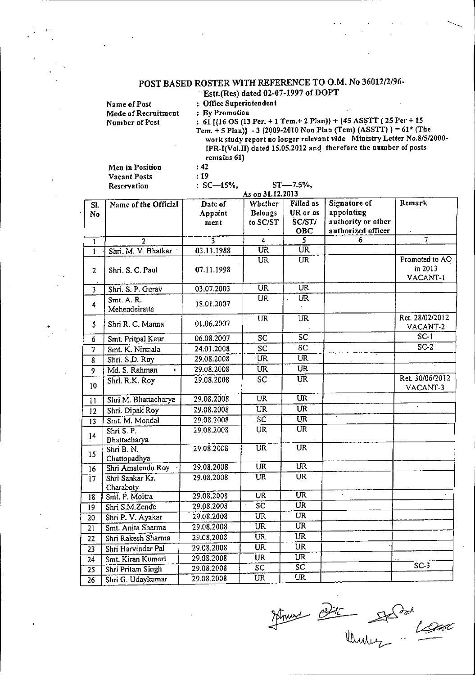## POST BASED ROSTER WITH REFERENCE TO O.M. No 36012/2/96-

|                     | $\pm$ Estt. (Res) dated 02-07-1997 of DOP 1                                                                                               |
|---------------------|-------------------------------------------------------------------------------------------------------------------------------------------|
| Name of Post        | : Office Superintendent                                                                                                                   |
| Mode of Recruitment | $\sim$<br>: By Promotion                                                                                                                  |
| Number of Post      | : 61 [ $(16 \text{ OS } (13 \text{ Per.} + 1 \text{ Tem.} + 2 \text{ Plan})$ } + $(45 \text{ ASSTT } (25 \text{ Per} + 15 \text{ Per.}))$ |
|                     | Tem. $+$ 5 Plan)} - 3 {2009-2010 Non Plan (Tem) (ASSTT) } = 61* (The                                                                      |
|                     | work study report no longer relevant vide Ministry Letter No.8/5/2000-                                                                    |
|                     | IPR-I(Vol.II) dated 15.05.2012 and therefore the number of posts                                                                          |
|                     | remains 61)                                                                                                                               |

Men in Position **Vacant Posts** Reservation

 $\boldsymbol{J}$ 

 $\cdot$  42  $\cdot$ : 19

 $: SC-15\%,$  $ST = -7.5\%,$ As on 31.12.2013

| SI.             | Name of the Official          | Date of    | Whether                  | Filled as                | Signature of       | Remark          |
|-----------------|-------------------------------|------------|--------------------------|--------------------------|--------------------|-----------------|
|                 |                               | Appoint    | <b>Belongs</b>           | UR or as                 | appointing         |                 |
| No              |                               | ment       | to SC/ST                 | SC/ST/                   | authority or other |                 |
|                 |                               |            |                          | OBC                      | authorized officer |                 |
| $\mathbf{1}$    | $\overline{2}$                | 3          | 4                        | $\overline{\mathsf{S}}$  | 6                  | 7               |
| ī               | Shri. M. V. Bhatkar           | 03.11.1988 | $\overline{\text{UR}}$   | $\overline{\text{UR}}$   |                    |                 |
|                 |                               |            | $\overline{\text{UR}}$   | $\overline{\text{UR}}$   |                    | Promoted to AO  |
| $\overline{2}$  | Shri. S. C. Paul              | 07.11.1998 |                          |                          |                    | in 2013         |
|                 |                               |            |                          |                          |                    | VACANT-1        |
| 3               | Shri, S. P. Gurav             | 03.07.2003 | $\overline{\text{UR}}$   | $\overline{\text{UR}}$   |                    |                 |
| $\overline{4}$  | Smt. A. R.                    | 18.01.2007 | $\overline{\text{UR}}$   | UR                       |                    |                 |
|                 | Mehendeiratta                 |            |                          |                          |                    |                 |
| 5               | Shri R. C. Manna              | 01.06.2007 | <b>UR</b>                | <b>UR</b>                |                    | Ret. 28/02/2012 |
|                 |                               |            |                          |                          |                    | VACANT-2        |
| 6               | Smt. Pritpal Kaur             | 06.08.2007 | SC                       | $\overline{SC}$          |                    | $SC-1$          |
| $\overline{7}$  | Smt. K. Nirmala               | 24.01.2008 | SC                       | $\overline{\text{SC}}$   |                    | $SC-2$          |
| 8               | Shri. S.D. Roy                | 29.08.2008 | UR.                      | UR                       |                    |                 |
| 9               | Md. S. Rahman<br>$\mathbf{U}$ | 29.08.2008 | UR                       | $\overline{\text{UR}}$   |                    |                 |
| 10              | Shri, R.K. Roy                | 29.08.2008 | $\overline{SC}$          | <b>UR</b>                |                    | Ret. 30/06/2012 |
|                 |                               |            |                          |                          |                    | VACANT-3        |
| 11              | Shri M. Bhattacharya          | 29.08.2008 | $\overline{\mathtt{UR}}$ | $\overline{\text{UR}}$   |                    |                 |
| 12              | Shri. Dipak Roy               | 29.08.2008 | UR                       | $\overline{\text{UR}}$   |                    |                 |
| 13              | Smt. M. Mondal                | 29.08.2008 | $\overline{\text{sc}}$   | $\overline{UR}$          |                    |                 |
| 14              | Shri S. P.                    | 29.08.2008 | $\overline{\mathtt{UR}}$ | $\overline{\text{UR}}$   |                    |                 |
|                 | Bhattacharya                  |            |                          |                          |                    |                 |
| 15              | Shri B. N.                    | 29.08.2008 | $\overline{\text{UR}}$   | <b>UR</b>                |                    |                 |
|                 | Chattopadhya                  | 29.08.2008 | <b>UR</b>                | $\overline{\text{UR}}$   |                    |                 |
| 16              | Shri Amalendu Roy             |            | <b>UR</b>                | <b>UR</b>                |                    |                 |
| $\overline{17}$ | Shri Sankar Kr.               | 29.08.2008 |                          |                          |                    |                 |
| $\overline{18}$ | Charaboty<br>Smt. P. Moitra   | 29.08.2008 | $\overline{\text{UR}}$   | $\overline{\text{UR}}$   |                    |                 |
| $\overline{19}$ | Shri S.M.Zende                | 29,08.2008 | $\overline{SC}$          | UR.                      |                    |                 |
| $\overline{20}$ | Shri P. V. Ayakar             | 29.08.2008 | UR.                      | $\overline{\mathtt{UR}}$ |                    |                 |
| $\overline{21}$ | Smt. Anita Sharma             | 29.08.2008 | UR                       | $\overline{\text{UR}}$   |                    |                 |
|                 | Shri Rakesh Sharma            | 29.08.2008 | <b>UR</b>                | $\overline{\text{UR}}$   |                    |                 |
| 22              | Shri Harvindar Pal            | 29.08.2008 | <b>UR</b>                | <b>UR</b>                |                    |                 |
| 23              | Smt. Kiran Kumari             | 29.08.2008 | UR                       | $\overline{\text{UR}}$   |                    |                 |
| $\overline{24}$ |                               | 29.08.2008 | $\overline{SC}$          | $\overline{\mathsf{sc}}$ |                    | $SC-3$          |
| $\overline{25}$ | Shri Pritam Singh             | 29.08.2008 | <b>UR</b>                | UR                       |                    |                 |
| $\overline{26}$ | Shri G. Udaykumar             |            |                          |                          |                    |                 |

Mount Porte State